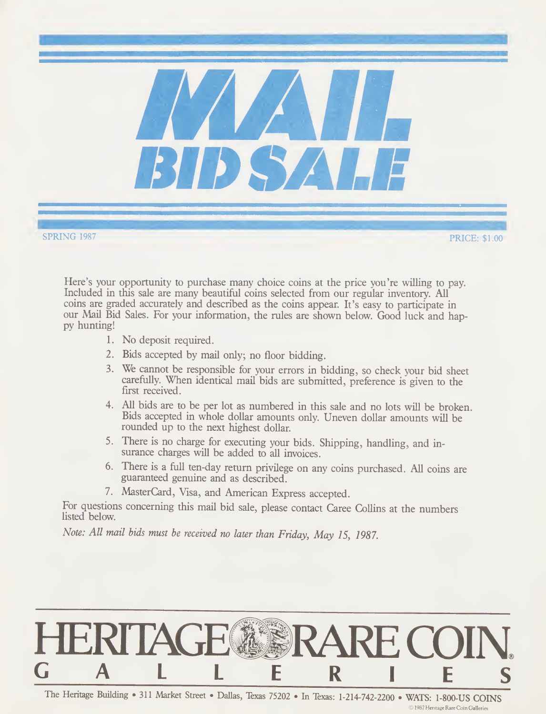

SPRING 1987 **PRICE:** \$1.00

Here's your opportunity to purchase many choice coins at the price you're willing to pay. Included in this sale are many beautiful coins selected from our regular inventory. All coins are graded accurately and described as the coins appear. It's easy to participate in our Mail Bid Sales. For your information, the rules are shown below. Good luck and happy hunting!

- 1. No deposit required.
- 2. Bids accepted by mail only; no floor bidding.
- 3. We cannot be responsible for your errors in bidding, so check your bid sheet carefully. When identical mail bids are submitted, preference is given to the first received.
- 4. All bids are to be per lot as numbered in this sale and no lots will be broken. Bids accepted in whole dollar amounts only. Uneven dollar amounts will be rounded up to the next highest dollar.
- 5. There is no charge for executing your bids. Shipping, handling, and in surance charges will be added to all invoices.
- 6. There is a full ten-day return privilege on any coins purchased. All coins are guaranteed genuine and as described.
- 7. MasterCard, Visa, and American Express accepted.

For questions concerning this mail bid sale, please contact Caree Collins at the numbers listed below.

Note: All mail bids must be received no later than Friday, May 15, 1987.

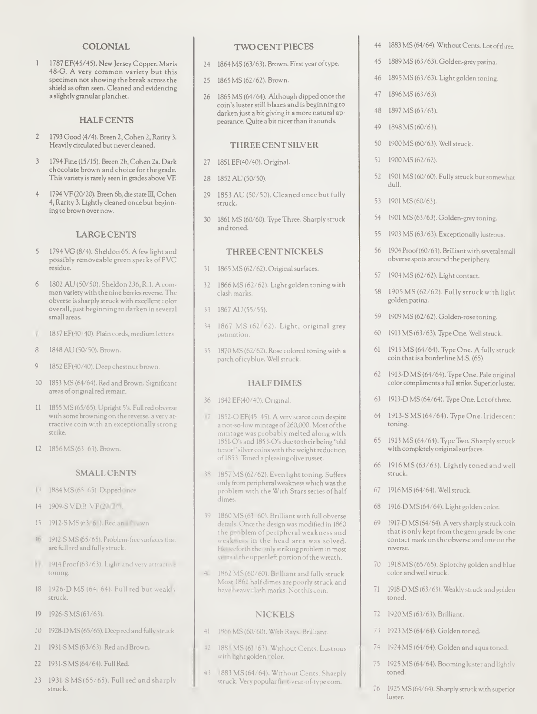## COLONIAL

<sup>1</sup> 1787 EF(45/45). NewJersey Copper. Maris 48-G. A very common variety but this specimen not showing the break across the shield as often seen. Cleaned and evidencing a slightly granular planchet.

# **HALFCENTS**

- 2 1793 Good (4/4). Breen 2, Cohen 2, Rarity 3. Heavily circulated but never cleaned.
- 3 1794 Fine (15/15). Breen 2b, Cohen 2a. Dark chocolate brown and choice forthe grade. This variety is rarely seen in grades above VF.
- 4 1794 VF (20/20). Breen 6b, die state III, Cohen 4, Rarity 3. Lightly cleaned once but beginningtobrownover now.

## LARGECENTS

- 5 1794 VG (8/4). Sheldon 65. A few light and possibly removeable green specks of PVC<br>residue.
- 6 1802 AU (50/50). Sheldon 236, R.l. A com mon variety with the nine berries reverse. The obverse issharply struck with excellent color overall, just beginning to darken in several
- 1837 EF(40/40). Plain cords, medium letters.
- 8 1848 AU (50/50). Brown.
- 9 1852 EF(40/40). Deep chestnut brown.
- 10 1853 MS (64/64). Red and Brown. Significant areas of original red remain.
- <sup>11</sup> 1855 MS (65/65). Upright 5's. Full red obverse with some browning on the reverse, a very attractive coin with an exceptionally strong
- 12 1856 MS (63/63). Brown.

#### SMALL CENTS

- 13 1884 MS (65-65). Dipped once.
- 14 1909-S V.D.B. VF(20/20).
- 15 1912-SMS (63/61). Red and Brown.
- 16 1912-S MS (65/65). Problem-free surfacesthat are full red and fully struck.
- 17 1914 Proof (63/63). Light and very attractive toning.
- <sup>18</sup> 1926-D MS (64/64). Full red but weakly struck.
- 19 1926-SMS(63/63).
- 20 1928-D MS (65/65). Deep red and fully struck.
- 21 1931-S MS (63/63). Red and Brown.
- 22 1931-S MS (64/64). Full Red.
- 23 1931-S MS (65/65). Full red and sharply<br>struck

#### TWO CENTPIECES

- 24 1864 MS (63/63). Brown. First year oftype.
- 25 1865 MS (62/62). Brown.
- 26 1865 MS (64/64). Although dipped once the coin's lusterstill blazes and is beginning to darken just a bit giving it a more natural appearance. Quite a bit nicer than it sounds.

### THREECENTSILVER

- 27 1851 EF(40/40). Original.
- 28 1852 AU (50/50).
- 29 1853 AU (50/50). Cleaned once but fully<br>struck
- 30 1861 MS (60/60). TypeThree. Sharply struck and toned.

## THREECENTNICKELS

- 31 1865 MS (62/62). Original surfaces.
- 32 1866 MS (62/62). Light golden toning with clash marks.
- 33 1867 AU (55/55).
- 34 1867 MS (62/62). Light, original grey patination.
- 35 1870 MS (62/62). Rose colored toning with a patch oficyblue. Wellstruck.

## HALF DIMES

- 36 1842 EF(40/40). Original.
- 17 1852-O EF(45-45). A very scarce coin despite a not-so-low mintage of 260,000. Most of the mintage was probably melted along with 1851-O's and 1853-O's due to their being "old tenor" silver coins with the weight reduction of 1853 Toned a pleasing olive russet.
- 38 1857 MS (62/62). Even light toning. Suffers only from peripheralweaknesswhich wasthe problem with the With Stars series of half
- 39 1860 MS (63/60). Brilliant with full obverse details. Once the design was modified in 1860 the problem of peripheral weakness and weakness in the head area was solved. Henceforth the only striking problem in most years if the upper left portion of the wreath.
- 40 1862 MS (60/60). Brilliant and fully struck. Most 1862 halfdimes are poorly struck and have heavy clash marks. Notthis coin.

# NICKELS

- 41 1866 MS (60/60). With Rays. Brilliant.
- 42 188 | MS (63/63). Without Cents. Lustrous with light golden rolor.
- 43 1883 MS (64/64). Without Cents. Sharply struck. Very popular fir t-vear-of-type coin.
- 44 1883 MS (64/64). Without Cents. Lot of three.
- 45 1889 MS (63/63). Golden-grey patina.
- 46 1895 MS (63/63). Light golden toning.
- 47 1896MS (63/63).
- 48 1897 MS (63/63).
- 49 1898 MS (60/63).
- 50 1900 MS (60/63). Well struck.
- 51 1900MS (62/62).
- 52 1901 MS (60/60). Fully struck butsomewhat dull.
- 53 1901 MS (60/63).
- 54 1901 MS (63/63). Golden-grey toning.
- 55 1903 MS (63/63). Exceptionally lustrous.
- 56 1904 Proof(60/63). Brilliant with severalsmall obverse spots around the periphery.
- 57 1904MS (62/62). Light contact.
- 58 1905 MS (62/62). Fully struck with light golden patina.
- 59 1909MS (62/62). Golden-rose toning.
- 60 1913 MS (63/63). Type One. Wellstruck.
- 61 1913 MS (64/64). Type One. A fully struck coin that is a borderline M.S. (65).
- 62 1913-D MS (64/64). Type One. Pale original color compliments a full strike. Superior luster.
- 63 1913-D MS (64/64). TypeOne. Lot ofthree.
- 64 1913-S MS (64/64). Type One. Iridescent toning.
- 65 1913 MS (64/64). TypeTwo. Sharply struck with completely originalsurfaces.
- 66 1916 MS (63/63). Lightly toned and well
- 67 1916 MS (64/64). Well struck.
- 68 1916-DMS(64/64). Light golden color.
- 69 1917-D MS (64/64). A very sharply struck coin that is only kept from the gem grade by one contact mark on the obverse and one on the
- 70 1918 MS (65/65). Splotchy golden and blue color and wellstruck.
- 71 1918-D MS (63/63). Weakly struck and golden
- 72 1920MS (63/63). Brilliant.
- 73 1923 MS (64/64). Golden toned.
- 74 1924 MS (64/64). Golden and aqua toned.
- 75 1925 MS (64/64). Booming luster and lightly
- 1925 MS (64/64). Sharply struck with superior<br>luster.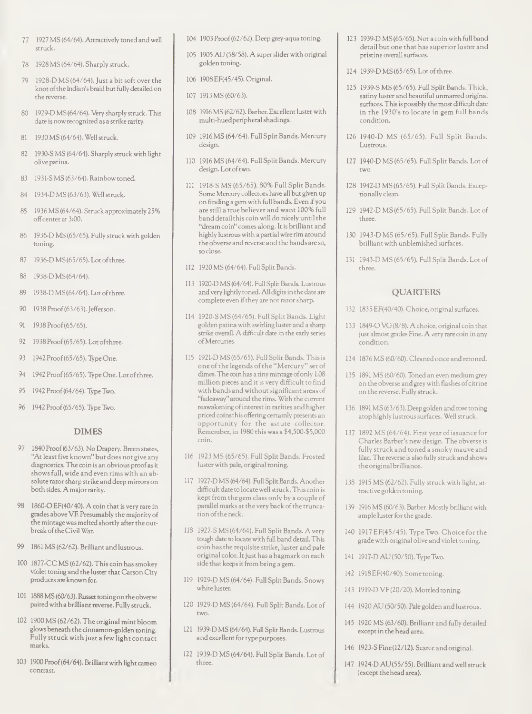- 77 1927 MS (64/64). Attractively toned and well struck.
- 78 1928 MS (64/64). Sharply struck.
- 79 1928-D MS (64/64). Just a bit soft over the knot of the Indian's braid but fully detailed on the reverse.
- 80 1929-D MS(64/64). Very sharply struck. This date is nowrecognized as a strike rarity.
- 81 1930 MS (64/64). Well struck.
- 82 1930-S MS (64/64). Sharply struck with light olive patina.
- 83 1931-S MS (63/64). Rainbow toned.
- 84 1934-D MS (63/63). Wellstruck.
- 85 1936 MS (64/64). Struck approximately 25% offcenterat3:00.
- 86 1936-D MS (65/65). Fully struck with golden toning.
- 87 1936-D MS(65/65). Lot ofthree.
- 88 1938-D MS(64/64).
- 89 1938-D MS(64/64). Lot ofthree.
- 90 1938 Proof (63/63). Jefferson.
- 91 1938 Proof(65/65).
- 92 1938 Proof(65/65). Lot ofthree.
- 93 1942 Proof(65/65). Type One.
- 94 1942 Proof(65/65). Type One. Lot ofthree.
- 95 1942 Proof (64/64). Type Two.
- 96 1942 Proof (65/65). Type Two.

# DIMES

- 97 1840 Proof (63/63). No Drapery. Breen states, "At least five known" but does not give any diagnostics. The coin is an obvious proofasit shows full, wide and even rims with an absolute razorsharp strike and deep mirrors on both sides. A major rarity.
- 98 1860-0 EF(40/40). A coin that is very rare in grades above VF. Presumably the majority of the mintage was melted shortly after the outbreak of the Civil War.
- 99 1861 MS (62/62). Brilliant and lustrous.
- 100 1877-CC MS (62/62). This coin has smokey violet toning and the luster thatCarson City products are known for.
- 101 1888 MS (60/63). Russet toningon theobverse paired withabrilliant reverse. Fully struck.
- 102 1900 MS (62/62). The original mint bloom glows beneath the cinnamon-golden toning. Fully struck with just a few light contact marks.
- 103 1900Proof(64/64). Brilliant with light cameo contrast.
- 104 1903 Proof(62/62). Deep grey-aqua toning.
- 105 1905 AU (58/58). A superslider with original golden toning.
- 106 1908 EF(45/45). Original.
- 107 1913 MS (60/63).
- 108 1916 MS (62/62). Barber. Excellent luster with multi-huedperipheralshadings.
- 109 1916 MS (64/64). Full Split Bands. Mercury design.
- 110 1916 MS (64/64). Full Split Bands. Mercury design. Lot of two.
- <sup>111</sup> 1918-S MS (65/65). 80% Full Split Bands. Some Mercury collectors have all but given up on finding a gem with full bands. Even ifyou are still a true believer and want 100% full band detailthis coin will do nicely until the "dream coin" comes along. It is brilliant and highly lustrous with a partial wire rim around the obverse and reverse and the bands are so, so close.
- 112 1920 MS (64/64). Full Split Bands.
- 113 1920-D MS (64/64). Full Split Bands. Lustrous and very lightly toned. All digits in the date are complete even if they are not razor sharp.
- 114 1920-S MS (64/65). Full Split Bands. Light golden patina with swirling luster and a sharp strike overall. Adifficult date in the early series ofMercuries.
- 115 1921-D MS (65/65). Full Split Bands. Thisis one ofthe legends ofthe "Mercury" set of dimes. The coin has a tiny mintage of only  $1.08$ million pieces and it is very difficult to find with bands and without significant areas of "fadeaway" around the rims. With the current reawakening ofinterest in rarities and higher priced coinsthis offering certainly presents an opportunity for the astute collector. Remember, in 1980 this was a \$4,500-\$5,000 coin.
- 116 1923 MS (65/65). Full Split Bands. Frosted luster with pale, original toning.
- 117 1927-D MS (64/64). Full Split Bands. Another difficult date to locate well struck. This coin is kept from the gem class only by a couple of parallel marks at the very back of the trunca-.<br>tion of the neck.
- 118 1927-S MS (64/64). Full Split Bands. A very tough date ro locate with full band detail. This coin has the requisite strike, luster and pale original color. It just has a bagmark on each side that keeps it from being a gem.
- 119 1929-D MS (64/64). Full Split Bands. Snowy white luster.
- 120 1929-D MS (64/64). Full Split Bands. Lot of
- 121 1939-D MS (64/64). Full Split Bands. Lustrous and excellent for type purposes.
- 122 1939-D MS (64/64). Full Split Bands. Lot of three.
- 123 1939-D MS (65/65). Not a coin with full band detail but one that has superior luster and pristine overallsurfaces.
- 124 1939-D MS (65/65). Lot ofthree.
- 125 1939-S MS (65/65). Full Split Bands. Thick, satiny luster and beautiful unmarred original surfaces. This is possibly the most difficult date in the 1930's to locate in gem full bands condition.
- 126 1940-D MS (65/65). Full Split Bands. Lustrous.
- 127 1940-D MS (65/65). Full Split Bands. Lot of two.
- 128 1942-D MS (65/65). Full Split Bands. Exceptionally clean.
- 129 1942-D MS (65/65). Full Split Bands. Lot of three.
- 130 1943-D MS (65/65). Full Split Bands. Fully brilliant with unblemished surfaces.
- 131 1943-D MS (65/65). Full Split Bands. Lot of three.

# QUARTERS

- 132 1835 EF(40/40). Choice, original surfaces.
- 133 1849-0 VG(8/8). Achoice, original coin that just almost grades Fine. A very rare coin in any condition.
- 134 1876 MS (60/60). Cleaned once and retoned.
- 135 1891 MS (60/60). Toned an even medium grey on the obverse and grey with flashes of citrine on the reverse. Fully struck.
- 136 1891 MS (63/63). Deep golden and rose toning atop highly lustroussurfaces. Well struck.
- 137 1892 MS (64/64). First year of issuance for Charles Barber's new design. The obverse is fully struck and toned a smoky mauve and lilac. The reverse is also fully struck and shows the originalbrilliance.
- 138 1915 MS (62/62). Fully struck with light, at tractive golden toning.
- 139 1916 MS (60/63). Barber. Mostly brilliant with ample luster for the grade.
- 140 1917 EF(45/45). Type Two. Choice for the grade with original olive and violet toning.
- 141 1917-DAU (50/50). TypeTwo.
- 142 1918 EF(40/40). Some toning.
- 143 1919-D VF(20/20). Mottled toning.
- 144 1920 AU (50/50). Pale golden and lustrous.
- 145 1920 MS (63/60). Brilliant and fully detailed except in the head area.
- 146 1923-S Fine(12/12). Scarce and original.
- 147 1924-D AU(55/55). Brilliant and wellstruck (except thehead area).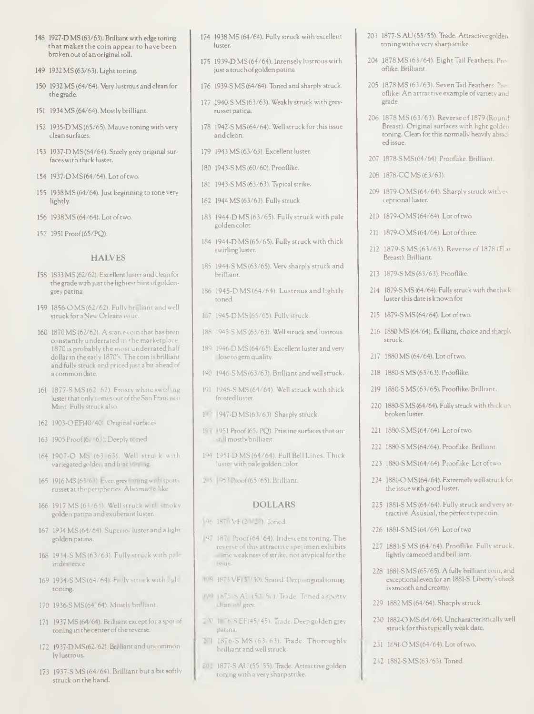- 148 1927-D MS (63/63). Brilliant with edge toning that makesthe coin appear to have been broken out ofan original roll.
- 149 1932 MS (63/63). Light toning.
- 150 1932 MS (64/64). Very lustrous and clean for the grade.
- 151 1934 MS (64/64). Mostly brilliant.
- 152 1935-D MS(65/65). Mauve toningwith very clean surfaces.
- 153 1937-D MS (64/64). Steely grey original sur faceswith thick luster.
- 154 1937-DMS(64/64). Lot oftwo.
- 155 1938 MS (64/64). Just beginning to tone very lightly.
- 156 1938 MS (64/64). Lot oftwo.
- 157 1951 Proof(65/PQ).

## HALVES

- 158 1833 MS (62/62). Excellent luster and clean for the grade with just the lightest hint of goldengrey patina.
- 159 1856-0 MS(62/62). Fully brilliant and well struck for a New Orleans issue.
- 160 1870 MS (62/62). A scarce coin that has been constantly underrated in the marketplace 1870 is probably the most underrated half dollar in the early 1870's. The coin is brilliant and fully struck and priced just a bit ahead of a common date.
- 161 1877-S MS (62-62). Frosty white swirling luster that only comes out of the San Francisco Mint. Fully struck also.
- 162 1903-0EF(40/40). Originalsurfaces.
- 163 1905 Proof (61/63). Deeply toned.
- 164 1907-O MS (63/63). Well stru k with variegated golden and lilac toning.
- 165 1916 MS (63/63). Even grey toning with spotty russet at the peripheries. Also matte-like
- 166 1917 MS (63/63). Well struck with smoky golden patina and exuberant luster.
- 167 1934 MS (64/64). Superior luster and a light golden patina.
- 168 1934-S MS (63/63). Fully struck with pale irides ence
- 169 1934-S MS (64/64). Fully struck with light toning.
- 170 1936-S MS(64-64). Mostly brilliant.
- 171 1937 MS (64/64). Brilliant except for a spot of toning in the center of the reverse.
- 172 1937-D MS (62/62). Brilliant and uncommonly lustrous.
- 173 1937-S MS (64/64). Brilliant but a bitsoftly struck on the hand.
- 174 1938 MS (64/64). Fully struck with excellent luster.
- 175 1939-D MS (64/64). Intensely lustrous with just a touchofgolden patina.
- 176 1939-S MS (64/64). Toned and sharply struck.
- 177 1940-S MS(63/63). Weakly struck with greyrusset patina.
- 178 1942-S MS(64/64). Well struck for thisissue and clean.
- 179 1943 MS (63/63). Excellent luster.
- 180 1943-SMS (60/60). Prooflike.
- 181 1943-S MS (63/63). Typicalstrike.
- 182 1944 MS (63/63). Fully struck.
- 183 1944-D MS (63/65). Fully struck with pale golden color.
- 184 1944-D MS(65/65). Fully struck with thick swirling luster.
- 185 1944-S MS(63/65). Very sharply struck and brilliant.
- 186 1945-D MS(64/64). Lustrous and lightly
- 187 1945-DMS(65/65). Fully struck.
- 188 1945-S MS (63/63). Well struck and lustrous.
- 189 1946-D MS (64/65). Excellent luster and very close to gem quality.
- 190 1946-S MS(63/63). Brilliant and well struck.
- <sup>191</sup> 1946-S MS (64/64). Well struck with thick frosted luster.
- 1<sup>947</sup>-DMS(63/63). Sharply struck.
- 1931 Proof (65, PQ). Pristine surfaces that are still mostlybrilliant.
- 194 1951-D MS (64/64). Full Bell Lines. Thick luster with pale golden color.
- 195 1953 Proof(65/65). Brilliant.

#### DOLLARS

- 
- 197 1870 Proof(64/64). Iridescent toning. The reverse of this attractive specimen exhibits some weakness of strike, not atypical for the
- 198 1873 VF(30/30). Seated. Deep original toning.
- 1999 1875-S AU (57/50). Trade. Toned a spotty
- 2 V 1876-S EF(45/45). Trade. Deep golden grey patina.
- 201 1876-S MS (63/63). Trade. Thoroughly brilliant and wellstruck.
- 202 1877-S AU (55/55). Trade. Attractive golden toningwith a very sharp strike.
- 203 1877-S AU (55/55). Trade. Attractive golden toningwith a very sharp strike.
- 204 1878 MS (63/64). Eight Tail Feathers. Pro oflike. Brilliant.
- 205 1878 MS (63/63). Seven Tail Feathers. Pro oflike. An attractive example ofvariety and grade.
- 206 1878 MS (63/63). Reverse of 1879 (Round Breast). Original surfaces with light golden toning. Clean for this normally heavily abrad ed issue.
- 207 1878-S MS (64/64). Prooflike. Brilliant.
- 208 1878-CC MS (63/63).
- 209 1879-0 MS(64/64). Sharply struck with ex ceptional luster.
- 210 1879-OMS (64/64). Lot of two.
- 211 1879-0 MS (64/64). Lot of three.
- 212 1879-S MS (63/63). Reverse of 1878 (Flat Breast). Brilliant.
- 213 1879-S MS(63/63). Prooflike.
- 214 1879-S MS (64/64). Fully struck with the thick lusterthis date is known for.
- 215 1879-S MS(64/64). Lot oftwo.
- 216 1880 MS (64/64). Brilliant, choice and sharply struck
- 217 1880 MS (64/64). Lot oftwo.
- 218 1880-S MS(63/63). Prooflike.
- 219 1880-S MS (63/65). Prooflike. Brilliant.
- 220 1880-S MS (64/64). Fully struck with thick un broken luster.
- 221 1880-S MS (64/64). Lot of two.
- 222 1880-S MS(64/64). Prooflike. Brilliant.
- 223 1880-S MS(64/64). Prooflike. Lot oftwo.
- 224 1881-O MS (64/64). Extremely well struck for the issuewith good luster.
- 225 1881-S MS (64/64). Fully struck and very at tractive. Asusual, the perfect type coin.
- 226 1881-S MS (64/64). Lot oftwa
- 227 1881-S MS (64/64). Prooflike. Fully struck, lightly cameoed and brilliant.
- 228 1881-S MS (65/65). A fully brilliant coin, and exceptional even for an 1881-S. Liberty's cheek issmooth and creamy.
- 229 1882 MS (64/64). Sharply struck.
- 230 1882-0 MS(64/64). Uncharacteristically well struck for thistypically weak date.
- 231 1881-0 MS(64/64). Lot oftwa
- 232 1882-SMS(63/63). Toned.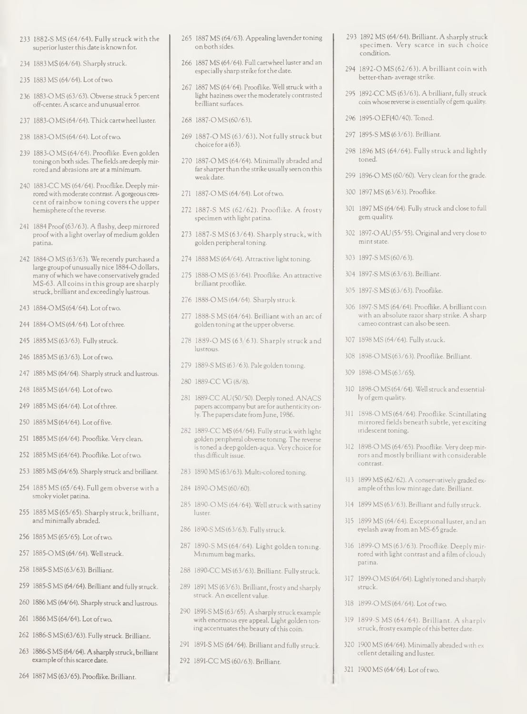- 233 1882-S MS (64/64). Fully struck with the superior luster this date is known for.
- 234 1883 MS (64/64). Sharply struck.
- 235 1883 MS (64/64). Lot oftwo.
- 236 1883-0 MS (63/63). Obverse struck 5 percent off-center. Ascarce and unusual error.
- 237 1883-0 MS(64/64). Thick cartwheel luster.
- 238 1883-0MS(64/64). Lot oftwo.
- 239 1883-0 MS (64/64). Prooflike. Even golden toning on both sides. The fields are deeply mirrored and abrasions are at a minimum.
- 240 1883-CC MS (64/64). Prooflike. Deeply mir rored with moderate contrast. A gorgeous crescent ofrainbow toning covers the upper hemisphere of the reverse.
- 241 1884 Proof(63/63). A flashy, deep mirrored proof with a light overlay of medium golden patina.
- 242 1884-0 MS (63/63). We recently purchased a large groupofunusually nice 1884-0 dollars, many ofwhich we have conservatively graded MS-63. All coins in this group are sharply struck, brilliant and exceedingly lustrous.
- 243 1884-0MS(64/64). Lot oftwo.
- 244 1884-OMS(64/64). Lot of three.
- 245 1885 MS (63/63). Fully struck.
- 246 1885 MS (63/63). Lot oftwo.
- 247 1885 MS (64/64). Sharply struck and lustrous.
- 248 1885 MS (64/64). Lot oftwo.
- 249 1885 MS (64/64). Lot of three.
- 250 1885 MS (64/64). Lot offive.
- 251 1885 MS (64/64). Prooflike. Very clean.
- 252 1885 MS (64/64). Prooflike. Lot oftwo.
- 253 1885 MS (64/65). Sharply struck and brilliant.
- 254 1885 MS (65/64). Full gem obverse with a smoky violet patina.
- 255 1885 MS (65/65). Sharply struck, brilliant, and minimally abraded.
- 256 1885 MS (65/65). Lot oftwo.
- 257 1885-0 MS (64/64). Wellstruck.
- 258 1885-SMS(63/63). Brilliant.
- 259 1885-S MS (64/64). Brilliant and fully struck.
- 260 1886 MS (64/64). Sharply struck and lustrous.
- 261 1886 MS (64/64). Lot of two.
- 262 1886-S MS(63/63). Fully struck. Brilliant.
- 263 1886-S MS (64/64). Asharply struck, brilliant example of this scarce date.
- 264 1887 MS (63/65). Prooflike. Brilliant.
- 265 1887 MS (64/63). Appealing lavender toning on both sides.
- 266 1887 MS (64/64). Full cartwheel luster and an especially sharp strike for the date.
- 267 1887 MS (64/64). Prooflike. Wellstruck with a light haziness over the moderately contrasted brilliantsurfaces.
- 268 1887-0 MS(60/63).
- 269 1887-0 MS (63/63). Not fully struck but choice for a (63).
- 270 1887-0 MS (64/64). Minimally abraded and far sharper than the strike usually seen on this weak date.
- 271 1887-0 MS (64/64). Lot oftwo.
- 272 1887-S MS (62/62). Prooflike. A frosty specimen with light patina.
- 273 1887-S MS(63/64). Sharply struck, with golden peripheral toning.
- 274 1888 MS (64/64). Attractive light toning.
- 275 1888-0 MS (63/64). Prooflike. An attractive brilliant prooflike.
- 276 1888-0 MS (64/64). Sharply struck.
- 277 1888-S MS (64/64). Brilliant with an arc of golden toning at the upper obverse.
- 278 1889-0 MS (63/63). Sharply struck and lustrous.
- 279 1889-S MS (63/63). Pale golden toning.
- 280 1889-CC VG (8/8).
- 281 1889-CC AU(50/50). Deeply toned. ANACS papers accompany but are for authenticity only. The papers date from June, 1986.
- 282 1889-CC MS (64/64). Fully struck with light golden peripheral obverse toning. The reverse is toned a deep golden-aqua. Very choice for this difficult issue.
- 283 1890 MS (63/63). Multi-colored toning.
- 284 1890-0 MS (60/60).
- 285 1890-0 MS (64/64). Well struck with satiny luster.
- 286 1890-SMS(63/63). Fully struck.
- 287 1890-S MS (64/64). Light golden toning. Minimum bagmarks.
- 288 1890-CC MS (63/63). Brilliant. Fully struck.
- 289 1891 MS (63/63). Brilliant, frosty and sharply struck. An excellent value.
- 290 1891-S MS (63/65). A sharply struck example with enormous eye appeal. Light golden toning accentuates the beauty ofthis coin.
- 291 1891-S MS (64/64). Brilliant and fully struck.
- 292 1891-CC MS (60/63). Brilliant.
- 293 1892 MS (64/64). Brilliant. A sharply struck specimen. Very scarce in such choice condition.
- 294 1892-0 MS (62/63). A brilliant coin with better-than- average strike.
- 295 1892-CC MS (63/63). A brilliant, fully struck coin whosereverse is essentially ofgem quality.
- 296 1895-0 EF(40/40). Toned.
- 297 1895-SMS (63/63). Brilliant.
- 298 1896 MS (64/64). Fully struck and lightly toned.
- 299 1896-0 MS (60/60). Very clean for the grade.
- 300 1897 MS (63/63). Prooflike.
- 301 1897 MS (64/64). Fully struck and close to full gem quality.
- 302 1897-0 AU (55/55). Original and very close to mint state.
- 303 1897-SMS(60/63).
- 304 1897-SMS (63/63). Brilliant.
- 305 1897-SMS (63/63). Prooflike.
- 306 1897-S MS (64/64). Prooflike. A brilliant coin with an absolute razorsharp strike. A sharp cameo contrast can also be seen.
- 307 1898 MS (64/64). Fully struck.
- 308 1898-0 MS(63/63). Prooflike. Brilliant.
- 309 1898-0 MS(63/65).
- 310 1898-0 MS(64/64). Wellstruck and essential ly of gem quality.
- 311 1898-0 MS (64/64). Prooflike. Scintillating mirrored fields beneath subtle, yet exciting iridescent toning.
- 312 1898-0 MS (64/65). Prooflike. Very deep mir rors and mostly brilliant with considerable contrast.
- 313 1899 MS (62/62). A conservatively graded example ofthislow mintage date. Brilliant.
- 314 1899 MS (63/63). Brilliant and fully struck.
- 315 1899 MS (64/64). Exceptional luster, and an eyelash away from an MS-65 grade.
- 316 1899-0 MS (63/63). Prooflike. Deeply mir rored with light contrast and a film of cloudy patina.
- 317 1899-0 MS (64/64). Lightly toned and sharply
- 318 1899-0 MS (64/64). Lot oftwo.
- 319 1899-S MS (64/64). Brilliant. A sharply struck, frosty example of this better date
- 320 1900 MS (64/64). Minimally abraded with ex cellent detailing and luster.
- 321 1900 MS (64/64). Lot oftwo.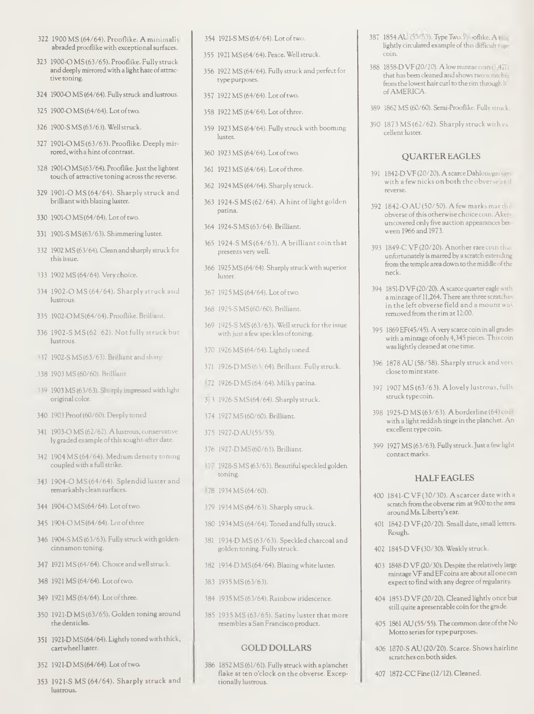- 322 1900 MS (64/64). Prooflike. A minimally abraded prooflike with exceptional surfaces.
- 323 1900-0 MS(63/65). Prooflike. Fully struck and deeply mirrored with a light haze of attractive toning.
- 324 1900-0 MS (64/64). Fully struck and lustrous.
- 325 1900-0MS (64/64). Lot oftwo.
- 326 1900-SMS (63/63). Wellstruck.
- 327 1901-0 MS (63/63). Prooflike. Deeply mir rored, with a hint of contrast.
- 328 1901-OMS(63/64). Prooflike. Just the lightest touch of attractive toning across the reverse.
- 329 1901-0 MS (64/64). Sharply struck and brilliant with blazing luster.
- 330 1901-OMS(64/64). Lot of two.
- 331 1901-S MS (63/63). Shimmering luster.
- 332 1902 MS (63/64). Clean and sharply struck for thisissue.
- 333 1902 MS (64/64). Very choice.
- 334 1902-0 MS (64/64). Sharply struck and lustrous.
- 335 1902-0MS(64/64). Prooflike. Brilliant.
- 336 1902-S MS (62-62). Not fully struck but lustrous.
- 337 1902-SMS(63/63). Brilliant and sharp.
- 338 1903 MS (60/60). Brilliant.
- 339 1903 MS (63/63). Sharply impressed with light original color.
- 340 1903 Proof(60/60). Deeply toned.
- 341 1903-0 MS(62/62). A lustrous, conservative ly graded example ofthissought-after date.
- 342 1904 MS (64/64). Medium density toning coupled with a fullstrike.
- 343 1904-0 MS (64/64). Splendid luster and remarkablyclean surfaces.
- 344 1904-0MS(64/64). Lot oftwo.
- 345 1904-O MS(64/64). Lot of three
- 346 1904-S MS (63/63). Fully struck with goldencinnamon toning.
- 347 1921 MS(64/64). Choice and wellstruck.
- 348 1921 MS (64/64). Lot of two.
- 349 1921 MS (64/64). Lot of three
- 350 1921-D MS(63/65). Golden toning around thedenticles.
- 351 1921-D MS(64/64). Lightly toned with thick, cartwheelluster.
- 352 1921-DMS(64/64). Lot oftwo.
- 353 1921-S MS (64/64). Sharply struck and lustrous.
- 354 1921-S MS (64/64). Lot oftwo.
- 355 1921 MS (64/64). Peace. Well struck.
- 356 1922 MS (64/64). Fully struck and perfect for type purposes.
- 357 1922 MS (64/64). Lot oftwo.
- 358 1922 MS (64/64). Lot ofthree.
- 359 1923 MS (64/64). Fully struck with booming luster
- 360 1923 MS (64/64). Lot oftwo.
- 361 1923 MS (64/64). Lot ofthree.
- 362 1924 MS (64/64). Sharply struck.
- 363 1924-SMS (62/64). A hint of light golden patina.
- 364 1924-SMS(63/64). Brilliant.
- 365 1924-S MS (64/63). A brilliant coin that presents very well.
- 366 1925 MS (64/64). Sharply struck'with superior
- 367 1925 MS (64/64). Lot of two.
- 368 1925-SMS(60/60). Brilliant.
- 369 1925-S MS (63/63). Well struck for the issue with just a few speckles of toning.
- 370 1926MS (64/64). Lightly toned.
- 371 1926-D MS (63/64). Brilliant. Fully struck.
- 372 1926-D MS (64/64). Milky patina.
- 373 1926-SMS(64/64). Sharply struck.
- 374 1927 MS (60/60). Brilliant.
- 375 1927-D AU(55/55).
- 376 1927-DMS(60/63). Brilliant.
- 377 1928-S MS (63/63). Beautiful speckled golden toning.
- 378 1934 MS (64/60).
- 379 1934 MS (64/63). Sharply struck.
- 380 1934 MS (64/64). Toned andfully struck.
- 381 1934-D MS (63/63). Speckled charcoal and golden toning. Fully struck.
- 382 1934-D MS(64/64). Blazing white luster.
- 383 1935 MS(63/63).
- 384 1935 MS (63/64). Rainbow iridescence.
- 385 1935 MS (63/65). Satiny luster that more resembles aSan Francisco product.

#### GOLD DOLLARS

386 1852 MS (61/61). Fully struck with a planchet flake at ten o'clock on the obverse. Exceptionally lustrous.

- 387 1854 AU (53/53). Type Two. Prooflike. A nice lightly circulated example of this difficult type
- 388 1858-DVF (20/20). A low mintae coin (3,477) that has been cleaned and shows two scratche fromthe lowest hair curl to the rim through 1C ofAMERICA.
- 389 1862 MS (60/60). Semi-Prooflike. Fully struck.
- 390 1873 MS (62/62). Sharply struck with ex cellent luster.

#### QUARTEREAGLES

- 391 1842-D VF (20/20). A scarce Dahlonega coin with a few nicks on both the obverse and reverse
- 392 1842-0 AU (50/50). A few marks mar the obverse of this otherwise choice coin. Akeruncovered only five auction appearances bet ween 1966 and 1973.
- 393 1849-C VF(20/20). Another rare coin that unfortunately ismarred by a scratch extending from the temple area down to the middle of the neck
- 394 1851-D VF(20/20). A scarce quarter eagle with a mintage of 11,264. There are three scratches in the left obverse field and a mount was removed from the rim at 12:00.
- 395 1869EF(45/45). Avery scarce coin in all grades with a mintage ofonly 4,345 pieces. Thiscoin was lightly cleaned at one time.
- 396 1878 AU (58/58). Sharply struck and very close to mintstate.
- 397 1907 MS (63/63). A lovely lustrous, fully struck typecoin.
- 398 1925-D MS (63/63). A borderline (64) coin with a lightreddish tinge in the planchet. An excellent type coin.
- 399 1927 MS (63/63). Fully struck.Just a few light contact marks.

#### HALF EAGLES

- 400 1841-C VF(30/30). A scarcer date with a scratch fromthe obverse rim at 9:00 to the area around Ms.Liberty's ear.
- 401 1842-D VF(20/20). Small date, small letters. Rough.
- 402 1845-D VF(30/30). Weakly struck.
- 403 1848-D VF (20/30). Despite the relatively large mintage VFand EFcoins are about all onecan expect to findwith any degree ofregularity.
- 404 1853-D VF (20/20). Cleaned lightly once but still quite a presentable coin for the grade.
- 405 1861 AU (55/55). The common date of the No Motto seriesfor type purposes.
- 406 1S70-S AU (20/20). Scarce. Shows hairline scratches on both sides.
- 407 1872-CC Fine (12/12). Cleaned.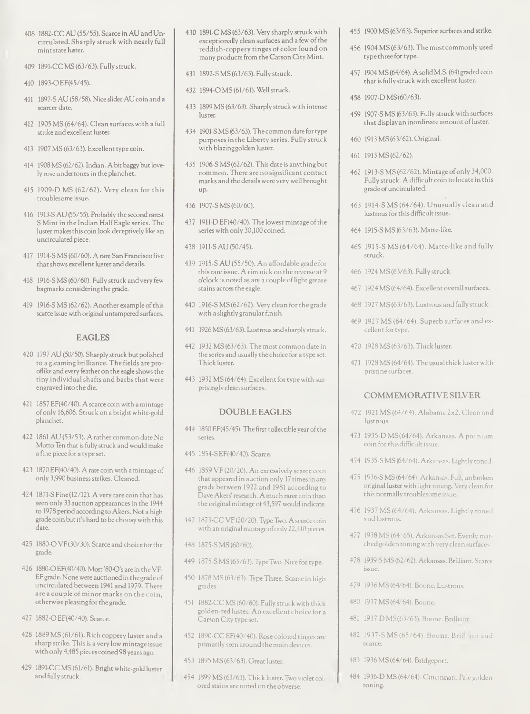- 408 1882-CC AU (55/55). Scarce in AU and Un circulated. Sharply struck with nearly full mintstate luster.
- 409 1891-CC MS (63/63). Fully struck.
- 410 1893-0EF(45/45).
- 411 1897-S AU (58/58). Nice slider AU coin and a scarcer date.
- 412 1905 MS (64/64). Clean surfaces with a full strike and excellent luster.
- 413 1907 MS (63/63). Excellent type coin.
- 414 1908 MS (62/62). Indian. A bit baggy but lovely rose undertonesin the planchet.
- 415 1909-D MS (62/62). Very clean for this troublesome issue.
- 416 1913-S AU (55/55). Probably the second rarest S Mint in the Indian HalfEagle series. The luster makesthis coin look deceptively like an uncirculated piece.
- 417 1914-S MS (60/60). A rare San Francisco five thatshows excellent luster and details.
- 418 1916-S MS (60/60). Fully struck and very few bagmarks considering the grade.
- 419 1916-S MS (62/62). Another example of this scarce issue with original untampered surfaces.

# EAGLES

- 420 1797 AU (50/50). Sharply struck but polished to a gleaming brilliance. The fields are prooflike and every feather on the eagle showsthe tiny individual shafts and barbsthat were engraved into the die.
- 421 1857 EF(40/40). A scarce coin with a mintage ofonly 16,606. Struck on a bright white-gold planchet.
- 422 1861 AU (53/53). A rather common date No Motto Ten that is fully struck and would make a fine piece for a type set.
- 423 1870 EF(40/40). A rare coin with a mintage of only 3,990 businessstrikes. Cleaned.
- 424 1871-S Fine(12/12). A very rare coin that has seen only 33 auction appearances in the 1944 to 1978 period according to Akers. Not a high grade coin but it's hard to be choosy with this date.
- 425 1880-0 VF(30/30). Scarce and choice for the grade.
- 426 1880-O EF(40/40). Most '80-O's are in the VF-EFgrade. None were auctioned in the grade of uncirculated between 1941 and 1979. There are a couple of minor marks on the coin, otherwise pleasing forthe grade.
- 427 1882-0EF(40/40). Scarce.
- 428 1889 MS (61/61). Rich coppery luster and a sharp strike Thisis a very low mintage issue with only 4,485 pieces coined 98 years ago.
- 429 1891-CC MS (61/61). Bright white-gold luster and fully struck.
- 430 1891-C MS (63/63). Very sharply struck with exceptionally clean surfaces and a few of the reddish-coppery tinges of color found on many products from the Carson City Mint.
- 431 1892-SMS (63/63). Fully struck.
- 432 1894-0MS (61/61). Wellstruck.
- 433 1899 MS (63/63). Sharply struck with intense luster.
- 434 1901-S MS (63/63). The common date for type purposes in the Liberty series. Fully struck with blazinggolden luster.
- 435 1906-S MS (62/62). This date is anything but common. There are no significant contact marks and the details were very well brought up.
- 436 1907-SMS (60/60).
- 437 1911-D EF(40/40). The lowest mintage ofthe series with only 30,100 coined.
- 438 1911-SAU (50/45).
- 439 1915-S AU (55/50). An affordable grade for thisrare issue. A rim nick on the reverse at 9 o'clock is noted as are a couple of light grease stains acrossthe eagle.
- 440 1916-S MS (62/62). Very clean for the grade with a slightly granular finish.
- 441 1926 MS (63/63). Lustrous and sharply struck.
- 442 1932 MS (63/63). The most common date in the series and usually the choice for a type set. Thick luster.
- 443 1932 MS (64/64). Excellent for type with sur prisingly clean surfaces.

## DOUBLE EAGLES

- 444 1850 EF(45/45). The first collectible year of the series.
- 445 1854-SEF(40/40). Scarce.
- 446 1859 VF (20/20). An excessively scarce coin that appeared in auction only 17 times in any grade between 1922 and 1981 according to Dave Akers' research. Amuch rarer coin than the original mintage of 43,597 would indicate.
- 447 1873-CC VF (20/20). Type Two. A scarce coin with an original mintage of only 22,410 pieces.
- 448 1875-SMS (60/60).
- 449 1875-S MS (63/63). Type Two. Nice for type.
- 450 1878 MS (63/63). Type Three. Scarce in high grades.
- 451 1882-CC MS (60/60). Fully struck with thick golden-red luster. An excellent choice for a CarsonCity type set.
- 452 1890-CC EF(40/40). Rose colored tinges are primarily seen around the main devices.
- 453 1895 MS (63/63). Great luster.
- 454 1899 MS (63/63). Thick luster. Two violet col ored stains are noted on theobverse.
- 455 1900 MS (63/63). Superior surfaces and strike.
- 456 1904 MS (63/63). The most commonly used type three for type.
- 457 1904 MS (64/64). Asolid M.S. (64) graded coin that isfullystruck with excellent luster.
- 458 1907-D MS(60/63).
- 459 1907-S MS (63/63). Fully struck with surfaces that display an inordinate amount of luster.
- 460 1913 MS (63/62). Original.
- 461 1913 MS (62/62).
- 462 1913-S MS (62/62). Mintage ofonly 34,000. Fully struck. A difficult coin to locate in this grade of uncirculated.
- 463 1914-S MS (64/64). Unusually clean and lustrous for this difficult issue.
- 464 1915-S MS (63/63). Matte-like.
- 465 1915-S MS (64/64). Matte-like and fully struck.
- 466 1924 MS (63/63). Fully struck.
- 467 1924 MS (64/64). Excellent overallsurfaces.
- 468 1927 MS (63/63). Lustrous and fully struck.
- 469 1927 MS (64/64). Superb surfaces and ex cellent fortype.
- 470 1928 MS (63/63). Thick luster.
- 471 1928 MS (64/64). The usual thick luster with pristine surfaces.

## COMMEMORATIVE SILVER

- 472 1921 MS (64/64). Alabama 2x2. Clean and lustrous.
- 473 1935-D MS(64/64). Arkansas. A premium coin forthisdifficult issue.
- 474 1935-S MS (64/64). Arkansas. Lightly toned.
- 475 1936-S MS (64/64). Arkansas. Full, unbroken original luster with light toning. Very clean for this normally troublesome issue.
- 476 1937 MS (64/64). Arkansas. Lightly toned and lustrous.
- 477 1938 MS (64/65). Arkansas Set. Evenly mat ched golden toningwith very clean surfaces.
- 478 1939-S MS (62/62). Arkansas. Brilliant. Scarce issue.
- 479 1936 MS (64/64). Boone. Lustrous.
- 480 1937 MS (64/64). Boone.
- 481 1937-DMS(63/63). Boone. Brilliant.
- 482 1937-S MS (65/64). Boone. Brilliant and scarce.
- 483 1936 MS (64/64). Bridgeport.
- 484 1936-D MS (64/64). Cincinnati. Pale golden toning.